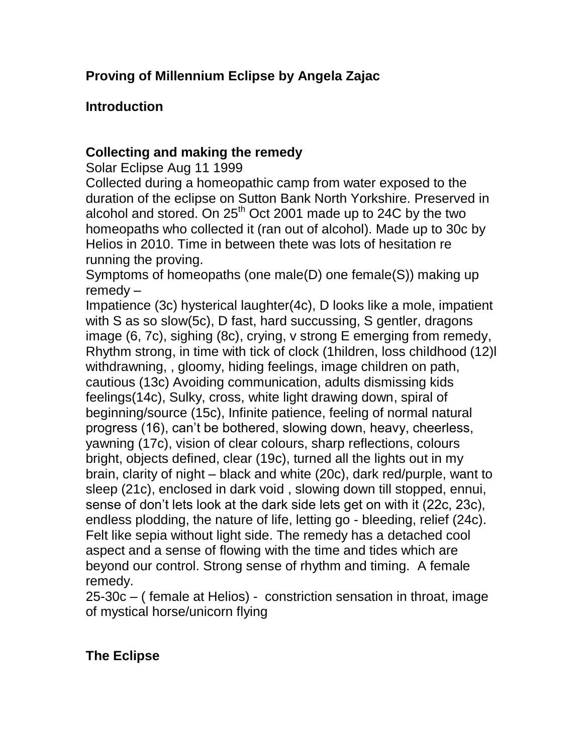## **Introduction**

### **Collecting and making the remedy**

Solar Eclipse Aug 11 1999

Collected during a homeopathic camp from water exposed to the duration of the eclipse on Sutton Bank North Yorkshire. Preserved in alcohol and stored. On  $25<sup>th</sup>$  Oct 2001 made up to 24C by the two homeopaths who collected it (ran out of alcohol). Made up to 30c by Helios in 2010. Time in between thete was lots of hesitation re running the proving.

Symptoms of homeopaths (one male(D) one female(S)) making up remedy –

Impatience (3c) hysterical laughter(4c), D looks like a mole, impatient with S as so slow(5c), D fast, hard succussing, S gentler, dragons image (6, 7c), sighing (8c), crying, v strong E emerging from remedy, Rhythm strong, in time with tick of clock (1hildren, loss childhood (12)l withdrawning, , gloomy, hiding feelings, image children on path, cautious (13c) Avoiding communication, adults dismissing kids feelings(14c), Sulky, cross, white light drawing down, spiral of beginning/source (15c), Infinite patience, feeling of normal natural progress (16), can't be bothered, slowing down, heavy, cheerless, yawning (17c), vision of clear colours, sharp reflections, colours bright, objects defined, clear (19c), turned all the lights out in my brain, clarity of night – black and white (20c), dark red/purple, want to sleep (21c), enclosed in dark void , slowing down till stopped, ennui, sense of don't lets look at the dark side lets get on with it (22c, 23c), endless plodding, the nature of life, letting go - bleeding, relief (24c). Felt like sepia without light side. The remedy has a detached cool aspect and a sense of flowing with the time and tides which are beyond our control. Strong sense of rhythm and timing. A female remedy.

25-30c – ( female at Helios) - constriction sensation in throat, image of mystical horse/unicorn flying

# **The Eclipse**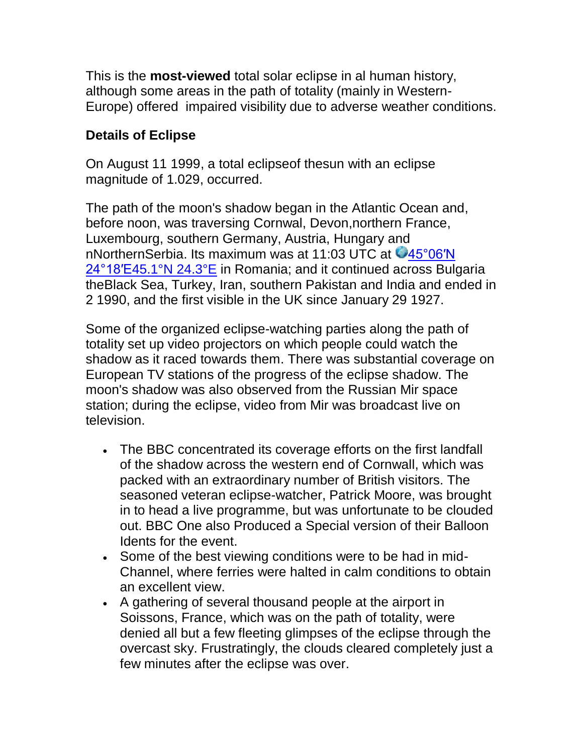This is the **most-viewed** total solar eclipse in al human history, although some areas in the path of totality (mainly in Western-Europe) offered impaired visibility due to adverse weather conditions.

#### **Details of Eclipse**

On August 11 1999, a total eclipseof thesun with an eclipse magnitude of 1.029, occurred.

The path of the moon's shadow began in the Atlantic Ocean and, before noon, was traversing Cornwal, Devon,northern France, Luxembourg, southern Germany, Austria, Hungary and nNorthernSerbia. Its maximum was at 11:03 UTC at  $\bigcirc$ 45°06'N 24°18′E45.1°N 24.3°E in Romania; and it continued across Bulgaria theBlack Sea, Turkey, Iran, southern Pakistan and India and ended in 2 1990, and the first visible in the UK since January 29 1927.

Some of the organized eclipse-watching parties along the path of totality set up video projectors on which people could watch the shadow as it raced towards them. There was substantial coverage on European TV stations of the progress of the eclipse shadow. The moon's shadow was also observed from the Russian Mir space station; during the eclipse, video from Mir was broadcast live on television.

- The BBC concentrated its coverage efforts on the first landfall of the shadow across the western end of Cornwall, which was packed with an extraordinary number of British visitors. The seasoned veteran eclipse-watcher, Patrick Moore, was brought in to head a live programme, but was unfortunate to be clouded out. BBC One also Produced a Special version of their Balloon Idents for the event.
- Some of the best viewing conditions were to be had in mid-Channel, where ferries were halted in calm conditions to obtain an excellent view.
- A gathering of several thousand people at the airport in Soissons, France, which was on the path of totality, were denied all but a few fleeting glimpses of the eclipse through the overcast sky. Frustratingly, the clouds cleared completely just a few minutes after the eclipse was over.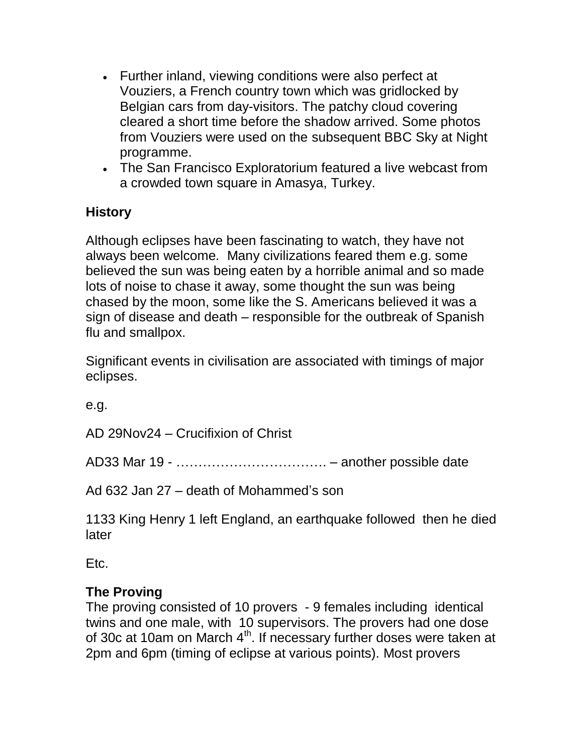- Further inland, viewing conditions were also perfect at Vouziers, a French country town which was gridlocked by Belgian cars from day-visitors. The patchy cloud covering cleared a short time before the shadow arrived. Some photos from Vouziers were used on the subsequent BBC Sky at Night programme.
- The San Francisco Exploratorium featured a live webcast from a crowded town square in Amasya, Turkey.

### **History**

Although eclipses have been fascinating to watch, they have not always been welcome*.* Many civilizations feared them e.g. some believed the sun was being eaten by a horrible animal and so made lots of noise to chase it away, some thought the sun was being chased by the moon, some like the S. Americans believed it was a sign of disease and death – responsible for the outbreak of Spanish flu and smallpox.

Significant events in civilisation are associated with timings of major eclipses.

e.g.

AD 29Nov24 – Crucifixion of Christ

AD33 Mar 19 - ……………………………. – another possible date

Ad 632 Jan 27 – death of Mohammed's son

1133 King Henry 1 left England, an earthquake followed then he died later

Etc.

### **The Proving**

The proving consisted of 10 provers - 9 females including identical twins and one male, with 10 supervisors. The provers had one dose of 30c at 10am on March 4<sup>th</sup>. If necessary further doses were taken at 2pm and 6pm (timing of eclipse at various points). Most provers